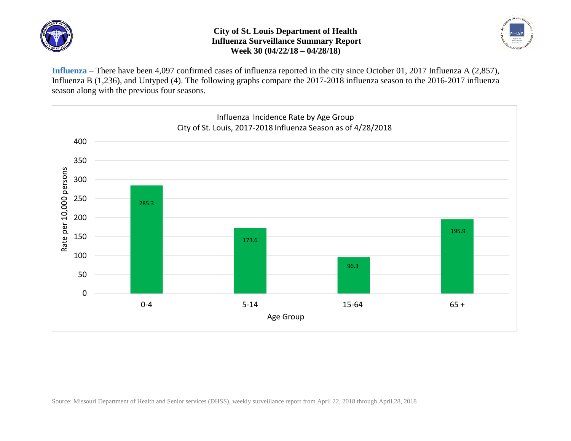

## **City of St. Louis Department of Health Influenza Surveillance Summary Report Week 30 (04/22/18 – 04/28/18)**



**Influenza** – There have been 4,097 confirmed cases of influenza reported in the city since October 01, 2017 Influenza A (2,857), Influenza B (1,236), and Untyped (4). The following graphs compare the 2017-2018 influenza season to the 2016-2017 influenza season along with the previous four seasons.